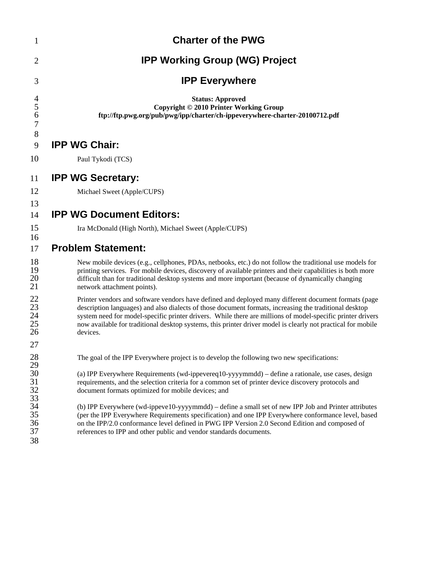| $\mathbf{1}$                                 | <b>Charter of the PWG</b>                                                                                                                                                                                                                                                                                                                                                                                                                                |
|----------------------------------------------|----------------------------------------------------------------------------------------------------------------------------------------------------------------------------------------------------------------------------------------------------------------------------------------------------------------------------------------------------------------------------------------------------------------------------------------------------------|
| $\overline{2}$                               | <b>IPP Working Group (WG) Project</b>                                                                                                                                                                                                                                                                                                                                                                                                                    |
| 3                                            | <b>IPP Everywhere</b>                                                                                                                                                                                                                                                                                                                                                                                                                                    |
| $\overline{4}$<br>5<br>6<br>$\boldsymbol{7}$ | <b>Status: Approved</b><br>Copyright © 2010 Printer Working Group<br>ftp://ftp.pwg.org/pub/pwg/ipp/charter/ch-ippeverywhere-charter-20100712.pdf                                                                                                                                                                                                                                                                                                         |
| 8<br>9                                       | <b>IPP WG Chair:</b>                                                                                                                                                                                                                                                                                                                                                                                                                                     |
| 10                                           | Paul Tykodi (TCS)                                                                                                                                                                                                                                                                                                                                                                                                                                        |
| 11                                           | <b>IPP WG Secretary:</b>                                                                                                                                                                                                                                                                                                                                                                                                                                 |
| 12                                           | Michael Sweet (Apple/CUPS)                                                                                                                                                                                                                                                                                                                                                                                                                               |
| 13<br>14                                     | <b>IPP WG Document Editors:</b>                                                                                                                                                                                                                                                                                                                                                                                                                          |
| 15<br>16                                     | Ira McDonald (High North), Michael Sweet (Apple/CUPS)                                                                                                                                                                                                                                                                                                                                                                                                    |
| 17                                           | <b>Problem Statement:</b>                                                                                                                                                                                                                                                                                                                                                                                                                                |
| 18<br>19<br>20<br>21                         | New mobile devices (e.g., cellphones, PDAs, netbooks, etc.) do not follow the traditional use models for<br>printing services. For mobile devices, discovery of available printers and their capabilities is both more<br>difficult than for traditional desktop systems and more important (because of dynamically changing<br>network attachment points).                                                                                              |
| 22<br>23<br>24<br>25<br>26                   | Printer vendors and software vendors have defined and deployed many different document formats (page<br>description languages) and also dialects of those document formats, increasing the traditional desktop<br>system need for model-specific printer drivers. While there are millions of model-specific printer drivers<br>now available for traditional desktop systems, this printer driver model is clearly not practical for mobile<br>devices. |
| 27                                           |                                                                                                                                                                                                                                                                                                                                                                                                                                                          |
| 28                                           | The goal of the IPP Everywhere project is to develop the following two new specifications:                                                                                                                                                                                                                                                                                                                                                               |
|                                              | (a) IPP Everywhere Requirements (wd-ippevereq10-yyyymmdd) - define a rationale, use cases, design<br>requirements, and the selection criteria for a common set of printer device discovery protocols and<br>document formats optimized for mobile devices; and                                                                                                                                                                                           |
| 29 30 1<br>31 32 33 34 35 36 37<br>38        | (b) IPP Everywhere (wd-ippeve10-yyyymmdd) – define a small set of new IPP Job and Printer attributes<br>(per the IPP Everywhere Requirements specification) and one IPP Everywhere conformance level, based<br>on the IPP/2.0 conformance level defined in PWG IPP Version 2.0 Second Edition and composed of<br>references to IPP and other public and vendor standards documents.                                                                      |
|                                              |                                                                                                                                                                                                                                                                                                                                                                                                                                                          |